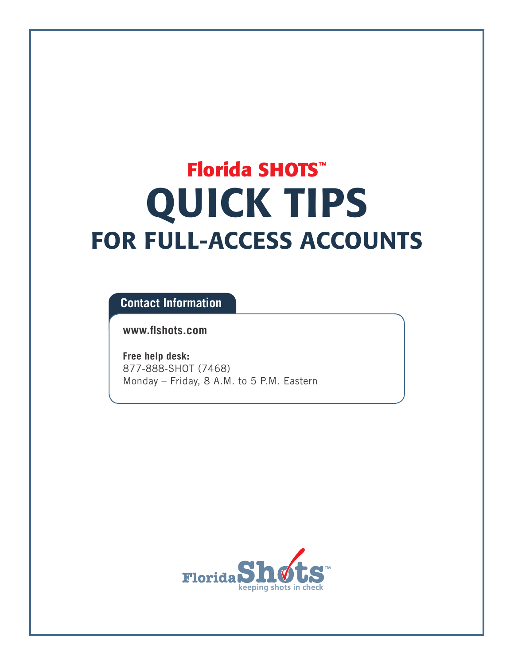# **Florida SHOTS™** QUICK TIPS FOR FULL-ACCESS ACCOUNTS

### **Contact Information**

**[www.flshots.com](http://www.flshots.com)** 

**Free help desk:** 877-888-SHOT (7468) Monday – Friday, 8 A.M. to 5 P.M. Eastern

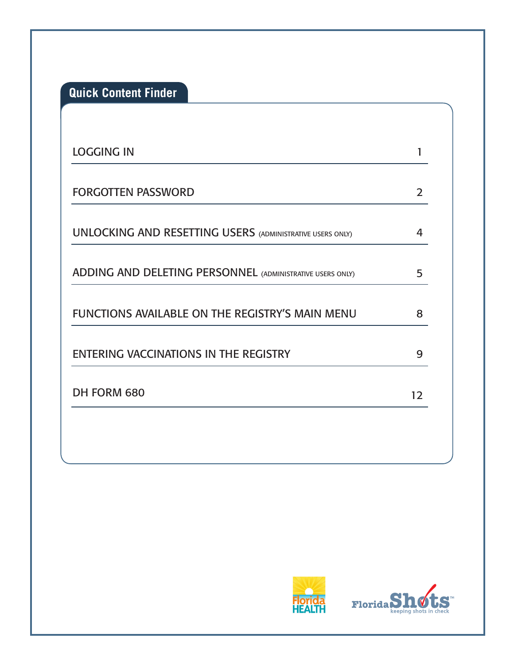**Quick Content Finder**

| <b>LOGGING IN</b>                                                |               |
|------------------------------------------------------------------|---------------|
| <b>FORGOTTEN PASSWORD</b>                                        | $\mathcal{P}$ |
| <b>UNLOCKING AND RESETTING USERS (ADMINISTRATIVE USERS ONLY)</b> | 4             |
| <b>ADDING AND DELETING PERSONNEL (ADMINISTRATIVE USERS ONLY)</b> | 5             |
| FUNCTIONS AVAILABLE ON THE REGISTRY'S MAIN MENU                  | 8             |
| ENTERING VACCINATIONS IN THE REGISTRY                            | 9             |
| DH FORM 680                                                      | 12            |



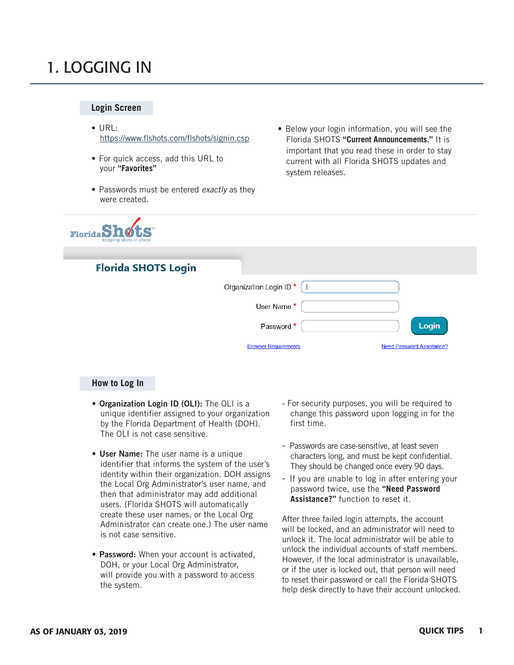### 1. LOGGING IN

### **Login Screen**

- URL: <https://www.flshots.com/flshots/signin.csp>
- For quick access, add this URL to your **"Favorites"**
- Passwords must be entered *exactly* as they were created.



### • Below your login information, you will see the Florida SHOTS **"Current Announcements."** It is important that you read these in order to stay current with all Florida SHOTS updates and system releases.

### **Florida SHOTS Login**

| Organization Login ID <sup>*</sup> |                                  |
|------------------------------------|----------------------------------|
| User Name*                         |                                  |
| Password *                         | Login                            |
| <b>Browser Requirements</b>        | <b>Need Password Assistance?</b> |

#### **How to Log In**

- Organization Login ID (OLI): The OLI is a unique identifier assigned to your organization by the Florida Department of Health (DOH). The OLI is not case sensitive.
- User Name: The user name is a unique identifier that informs the system of the user's identity within their organization. DOH assigns the Local Org Administrator's user name, and then that administrator may add additional users. (Florida SHOTS will automatically create these user names, or the Local Org Administrator can create one.) The user name is not case sensitive.
- Password: When your account is activated, DOH, or your Local Org Administrator, will provide you with a password to access the system.
- For security purposes, you will be required to change this password upon logging in for the first time.
- Passwords are case-sensitive, at least seven characters long, and must be kept confidential. They should be changed once every 90 days.
- If you are unable to log in after entering your password twice, use the **"Need Password Assistance?"** function to reset it.

After three failed login attempts, the account will be locked, and an administrator will need to unlock it. The local administrator will be able to unlock the individual accounts of staff members. However, if the local administrator is unavailable, or if the user is locked out, that person will need to reset their password or call the Florida SHOTS help desk directly to have their account unlocked.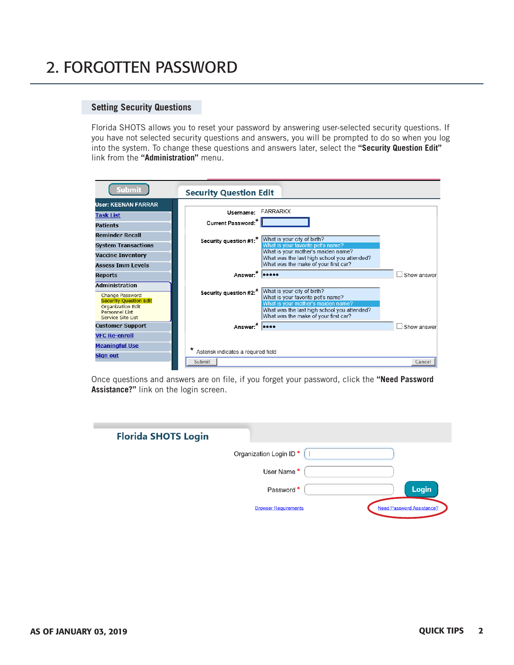# 2. FORGOTTEN PASSWORD

### **Setting Security Questions**

Florida SHOTS allows you to reset your password by answering user-selected security questions. If you have not selected security questions and answers, you will be prompted to do so when you log into the system. To change these questions and answers later, select the **"Security Question Edit"** link from the **"Administration"** menu.

| Submit                                                                                                                                       | <b>Security Question Edit</b>                 |                                                                                                                                                                                               |             |
|----------------------------------------------------------------------------------------------------------------------------------------------|-----------------------------------------------|-----------------------------------------------------------------------------------------------------------------------------------------------------------------------------------------------|-------------|
| <b>User: KEENAN FARRAR</b>                                                                                                                   |                                               |                                                                                                                                                                                               |             |
| <b>Task List</b>                                                                                                                             | Username: FARRARKX                            |                                                                                                                                                                                               |             |
| <b>Patients</b>                                                                                                                              | Current Password:*                            |                                                                                                                                                                                               |             |
| <b>Reminder Recall</b>                                                                                                                       |                                               | Security question #1:* What is your city of birth?                                                                                                                                            |             |
| <b>System Transactions</b><br><b>Vaccine Inventory</b>                                                                                       |                                               | What is your favorite pet's name?<br>What is your mother's maiden name?<br>What was the last high school you attended?                                                                        |             |
| <b>Assess Tmm Levels</b>                                                                                                                     |                                               | What was the make of your first car?                                                                                                                                                          |             |
| <b>Reports</b>                                                                                                                               | Answer:*                                      |                                                                                                                                                                                               | Show answer |
| <b>Administration</b><br>Change Password<br><b>Security Question Edit</b><br><b>Organization Edit</b><br>Personnel List<br>Service Site List | Security question #2:*                        | What is your city of birth?<br>What is your favorite pet's name?<br>What is your mother's maiden name?<br>What was the last high school you attended?<br>What was the make of your first car? |             |
| <b>Customer Support</b>                                                                                                                      | Answer:*                                      |                                                                                                                                                                                               | Show answer |
| <b>VFC Re-enroll</b>                                                                                                                         |                                               |                                                                                                                                                                                               |             |
| <b>Meaningful Use</b>                                                                                                                        |                                               |                                                                                                                                                                                               |             |
| <b>Sign out</b>                                                                                                                              | Asterisk indicates a required field<br>Submit |                                                                                                                                                                                               | Cancel      |

Once questions and answers are on file, if you forget your password, click the **"Need Password Assistance?"** link on the login screen.

| <b>Florida SHOTS Login</b> |                                    |                                  |       |
|----------------------------|------------------------------------|----------------------------------|-------|
|                            | Organization Login ID <sup>*</sup> |                                  |       |
|                            | User Name *                        |                                  |       |
|                            | Password *                         |                                  | Login |
|                            | <b>Browser Requirements</b>        | <b>Need Password Assistance?</b> |       |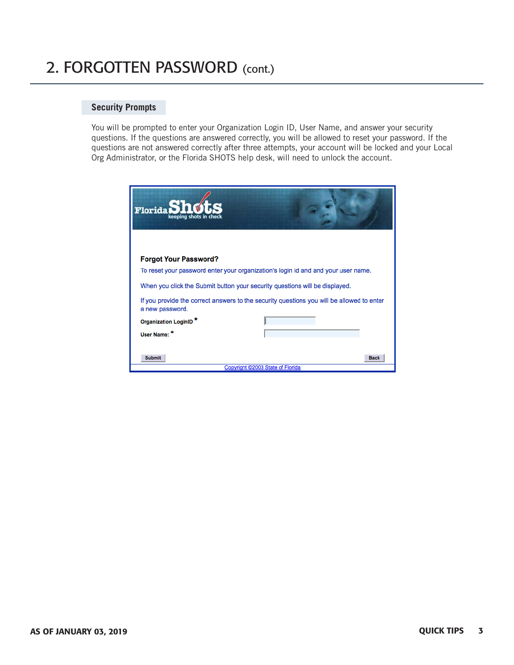# 2. FORGOTTEN PASSWORD (cont.)

### **Security Prompts**

You will be prompted to enter your Organization Login ID, User Name, and answer your security questions. If the questions are answered correctly, you will be allowed to reset your password. If the questions are not answered correctly after three attempts, your account will be locked and your Local Org Administrator, or the Florida SHOTS help desk, will need to unlock the account.

| Florida<br>keepina shots                                                    |                                                                                           |  |  |  |  |  |  |
|-----------------------------------------------------------------------------|-------------------------------------------------------------------------------------------|--|--|--|--|--|--|
| <b>Forgot Your Password?</b>                                                |                                                                                           |  |  |  |  |  |  |
|                                                                             | To reset your password enter your organization's login id and and your user name.         |  |  |  |  |  |  |
| When you click the Submit button your security questions will be displayed. |                                                                                           |  |  |  |  |  |  |
| a new password.                                                             | If you provide the correct answers to the security questions you will be allowed to enter |  |  |  |  |  |  |
| Organization LoginID <sup>*</sup>                                           |                                                                                           |  |  |  |  |  |  |
| User Name: *                                                                |                                                                                           |  |  |  |  |  |  |
| <b>Submit</b>                                                               | <b>Back</b><br>Copyright @2003 State of Florida                                           |  |  |  |  |  |  |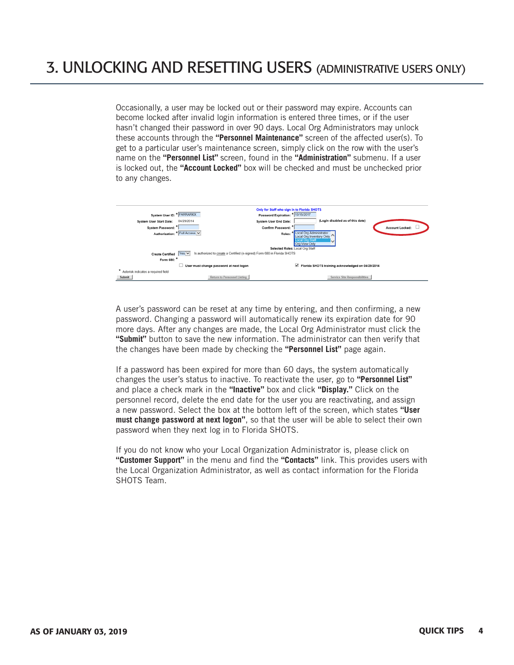Occasionally, a user may be locked out or their password may expire. Accounts can become locked after invalid login information is entered three times, or if the user hasn't changed their password in over 90 days. Local Org Administrators may unlock these accounts through the **"Personnel Maintenance"** screen of the affected user(s). To get to a particular user's maintenance screen, simply click on the row with the user's name on the **"Personnel List"** screen, found in the **"Administration"** submenu. If a user is locked out, the **"Account Locked"** box will be checked and must be unchecked prior to any changes.



A user's password can be reset at any time by entering, and then confirming, a new password. Changing a password will automatically renew its expiration date for 90 more days. After any changes are made, the Local Org Administrator must click the **"Submit"** button to save the new information. The administrator can then verify that the changes have been made by checking the **"Personnel List"** page again.

If a password has been expired for more than 60 days, the system automatically changes the user's status to inactive. To reactivate the user, go to **"Personnel List"** and place a check mark in the **"Inactive"** box and click **"Display."** Click on the personnel record, delete the end date for the user you are reactivating, and assign a new password. Select the box at the bottom left of the screen, which states **"User must change password at next logon"**, so that the user will be able to select their own password when they next log in to Florida SHOTS.

If you do not know who your Local Organization Administrator is, please click on **"Customer Support"** in the menu and find the **"Contacts"** link. This provides users with the Local Organization Administrator, as well as contact information for the Florida SHOTS Team.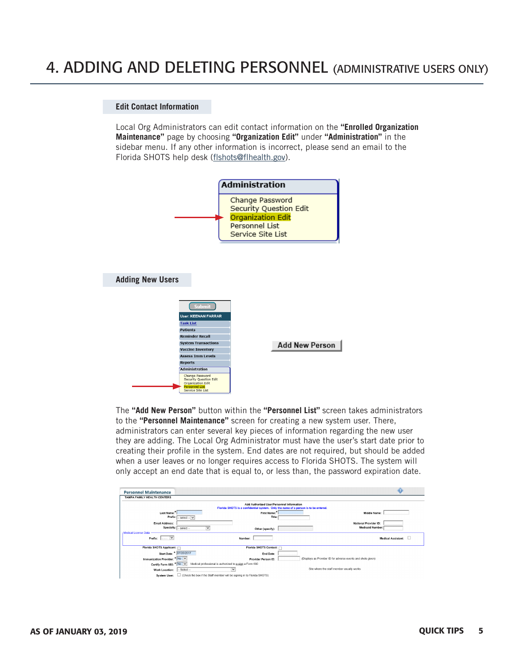### 4. ADDING AND DELETING PERSONNEL (ADMINISTRATIVE USERS ONLY)

#### **Edit Contact Information**

Local Org Administrators can edit contact information on the **"Enrolled Organization Maintenance"** page by choosing **"Organization Edit"** under **"Administration"** in the sidebar menu. If any other information is incorrect, please send an email to the Florida SHOTS help desk [\(flshots@flhealth.gov\)](mailto:flshots@flhealth.gov).



The **"Add New Person"** button within the **"Personnel List"** screen takes administrators to the **"Personnel Maintenance"** screen for creating a new system user. There, administrators can enter several key pieces of information regarding the new user they are adding. The Local Org Administrator must have the user's start date prior to creating their profile in the system. End dates are not required, but should be added when a user leaves or no longer requires access to Florida SHOTS. The system will only accept an end date that is equal to, or less than, the password expiration date.

| <b>Personnel Maintenance</b>              |                                                                                                                                  |                                                              |
|-------------------------------------------|----------------------------------------------------------------------------------------------------------------------------------|--------------------------------------------------------------|
| TAMPA FAMILY HEALTH CENTERS               |                                                                                                                                  |                                                              |
|                                           | Add Authorized User/Personnel Information<br>Florida SHOTS is a confidential system. Only the name of a person is to be entered. |                                                              |
| Last Name:"                               | First Name:"                                                                                                                     | Middle Name:                                                 |
| Prefix: $\overline{L}$ select $-\sqrt{2}$ | Title:                                                                                                                           |                                                              |
| Email Address:                            |                                                                                                                                  | National Provider ID:                                        |
| Specialty: $\sqrt{ }$ select --           | $\checkmark$<br>Other (specify):                                                                                                 | <b>Medicaid Number:</b>                                      |
| Medical License Data                      |                                                                                                                                  |                                                              |
| ∣ ∨  <br>Prefix:                          | Number:                                                                                                                          | Medical Assistant:                                           |
|                                           |                                                                                                                                  |                                                              |
| Florida SHOTS Applicant:                  | Florida SHOTS Contact:                                                                                                           |                                                              |
| Start Date: * 07/20/2017                  | End Date:                                                                                                                        |                                                              |
| Immunization Provider: * No Y             | Provider Person ID:                                                                                                              | (Displays as Provider ID for adverse events and shots given) |
| Certify Form 680: * No V                  | Medical professional is authorized to e-sign a Form 680                                                                          |                                                              |
| $-$ Select $-$<br>Work Location:          | $\checkmark$                                                                                                                     | Site where the staff member usually works                    |
| System User:                              | □ (Check the box if the Staff member will be signing in to Florida SHOTS)                                                        |                                                              |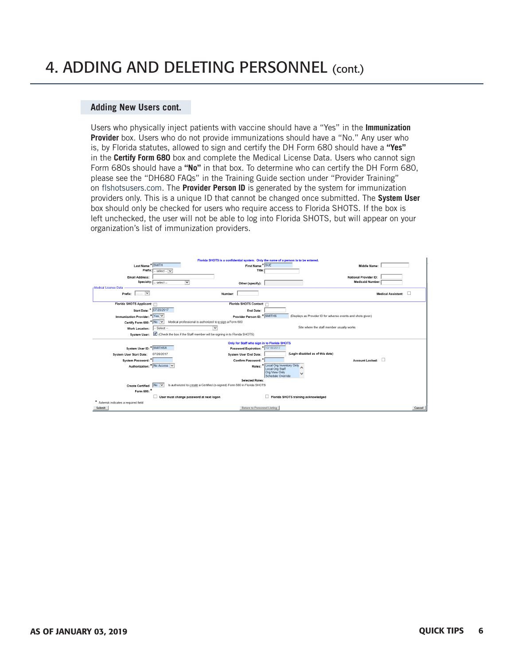# 4. ADDING AND DELETING PERSONNEL (cont.)

### **Adding New Users cont.**

Users who physically inject patients with vaccine should have a "Yes" in the **Immunization Provider** box. Users who do not provide immunizations should have a "No." Any user who is, by Florida statutes, allowed to sign and certify the DH Form 680 should have a **"Yes"**  in the **Certify Form 680** box and complete the Medical License Data. Users who cannot sign Form 680s should have a **"No"** in that box. To determine who can certify the DH Form 680, please see the "DH680 FAQs" in the Training Guide section under "Provider Training" on [flshotsusers.com.](http://flshotsusers.com) The **Provider Person ID** is generated by the system for immunization providers only. This is a unique ID that cannot be changed once submitted. The **System User** box should only be checked for users who require access to Florida SHOTS. If the box is left unchecked, the user will not be able to log into Florida SHOTS, but will appear on your organization's list of immunization providers.

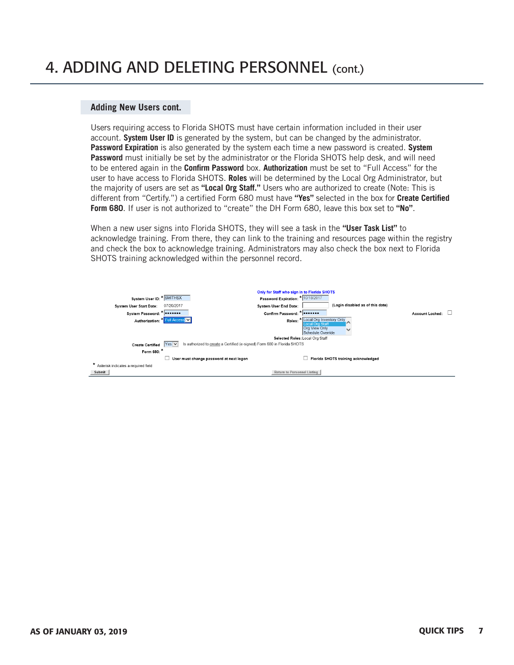# 4. ADDING AND DELETING PERSONNEL (cont.)

### **Adding New Users cont.**

Users requiring access to Florida SHOTS must have certain information included in their user account. **System User ID** is generated by the system, but can be changed by the administrator. **Password Expiration** is also generated by the system each time a new password is created. **System Password** must initially be set by the administrator or the Florida SHOTS help desk, and will need to be entered again in the **Confirm Password** box. **Authorization** must be set to "Full Access" for the user to have access to Florida SHOTS. **Roles** will be determined by the Local Org Administrator, but the majority of users are set as **"Local Org Staff."** Users who are authorized to create (Note: This is different from "Certify.") a certified Form 680 must have **"Yes"** selected in the box for **Create Certified Form 680**. If user is not authorized to "create" the DH Form 680, leave this box set to **"No"**.

When a new user signs into Florida SHOTS, they will see a task in the **"User Task List"** to acknowledge training. From there, they can link to the training and resources page within the registry and check the box to acknowledge training. Administrators may also check the box next to Florida SHOTS training acknowledged within the personnel record.

|                                     |                       | Only for Staff who sign in to Florida SHOTS                              |                                                      |                                     |                        |  |
|-------------------------------------|-----------------------|--------------------------------------------------------------------------|------------------------------------------------------|-------------------------------------|------------------------|--|
| System User ID: * SMITHSX           |                       | Password Expiration:                                                     | $\star$ 10/18/2017                                   |                                     |                        |  |
| <b>System User Start Date:</b>      | 07/20/2017            | <b>System User End Date:</b>                                             |                                                      | (Login disabled as of this date)    |                        |  |
| System Password: *   *******        |                       | Confirm Password: *   *******                                            |                                                      |                                     | <b>Account Locked:</b> |  |
| Authorization:                      | ∙ull Access∥ <b>∨</b> |                                                                          | Roles: * Local Org Inventory Only<br>Local Org Staff |                                     |                        |  |
|                                     |                       |                                                                          | Org View Only<br>Schedule Override                   |                                     |                        |  |
|                                     |                       |                                                                          | Selected Roles: Local Org Staff                      |                                     |                        |  |
| <b>Create Certified</b>             | $Yes$ $\vee$          | Is authorized to create a Certified (e-signed) Form 680 in Florida SHOTS |                                                      |                                     |                        |  |
| Form 680: *                         |                       |                                                                          |                                                      |                                     |                        |  |
|                                     |                       | User must change password at next logon                                  |                                                      | Florida SHOTS training acknowledged |                        |  |
| Asterisk indicates a required field |                       |                                                                          |                                                      |                                     |                        |  |
| Submit                              |                       | Return to Personnel Listing                                              |                                                      |                                     |                        |  |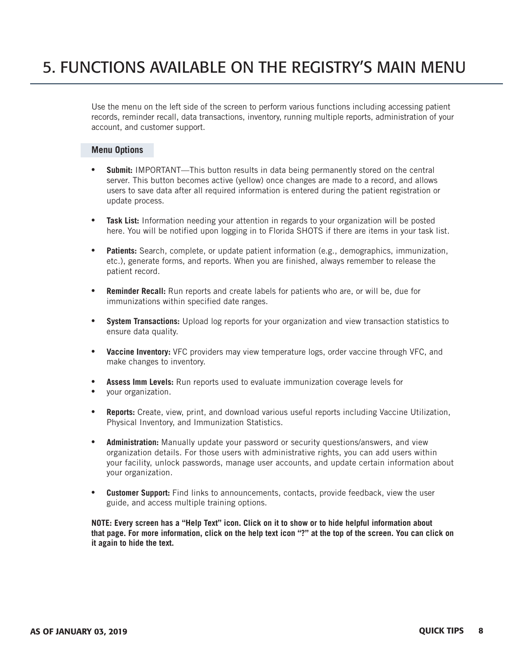## 5. FUNCTIONS AVAILABLE ON THE REGISTRY'S MAIN MENU

Use the menu on the left side of the screen to perform various functions including accessing patient records, reminder recall, data transactions, inventory, running multiple reports, administration of your account, and customer support.

#### **Menu Options**

- **Submit:** IMPORTANT—This button results in data being permanently stored on the central server. This button becomes active (yellow) once changes are made to a record, and allows users to save data after all required information is entered during the patient registration or update process.
- **Task List:** Information needing your attention in regards to your organization will be posted here. You will be notified upon logging in to Florida SHOTS if there are items in your task list.
- **Patients:** Search, complete, or update patient information (e.g., demographics, immunization, etc.), generate forms, and reports. When you are finished, always remember to release the patient record.
- **Reminder Recall:** Run reports and create labels for patients who are, or will be, due for immunizations within specified date ranges.
- **System Transactions:** Upload log reports for your organization and view transaction statistics to ensure data quality.
- **Vaccine Inventory:** VFC providers may view temperature logs, order vaccine through VFC, and make changes to inventory.
- **Assess Imm Levels:** Run reports used to evaluate immunization coverage levels for
- your organization.
- **Reports:** Create, view, print, and download various useful reports including Vaccine Utilization, Physical Inventory, and Immunization Statistics.
- **Administration:** Manually update your password or security questions/answers, and view organization details. For those users with administrative rights, you can add users within your facility, unlock passwords, manage user accounts, and update certain information about your organization.
- **Customer Support:** Find links to announcements, contacts, provide feedback, view the user guide, and access multiple training options.

**NOTE: Every screen has a "Help Text" icon. Click on it to show or to hide helpful information about that page. For more information, click on the help text icon "?" at the top of the screen. You can click on it again to hide the text.**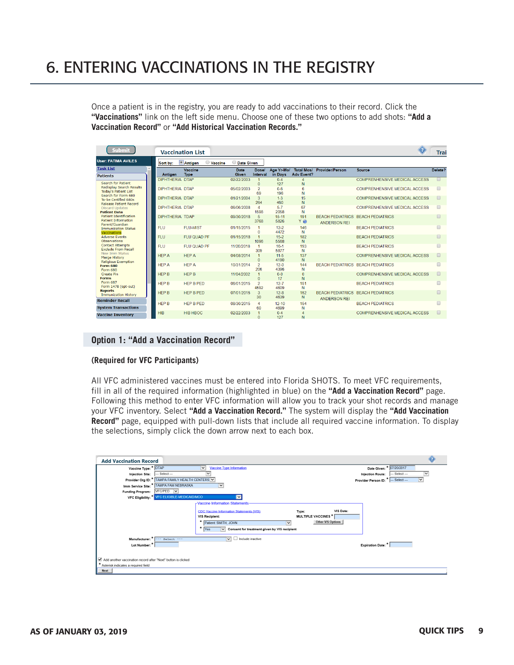# 6. ENTERING VACCINATIONS IN THE REGISTRY

Once a patient is in the registry, you are ready to add vaccinations to their record. Click the **"Vaccinations"** link on the left side menu. Choose one of these two options to add shots: **"Add a Vaccination Record"** or **"Add Historical Vaccination Records."** 

| <b>Submit</b>                                                 |                        | <b>Vaccination List</b>   |                      |                             |                       |                                        |                        |                                          | <b>Trai</b> |
|---------------------------------------------------------------|------------------------|---------------------------|----------------------|-----------------------------|-----------------------|----------------------------------------|------------------------|------------------------------------------|-------------|
| <b>User: FATIMA AVILES</b>                                    | Sort by:               | <b>Antigen</b><br>Vaccine | <b>Date Given</b>    |                             |                       |                                        |                        |                                          |             |
| <b>Task List</b><br><b>Patients</b>                           | Antigen                | Vaccine<br><b>Type</b>    | Date<br><b>Given</b> | <b>Dose/</b><br>Interval    | Age Yr-Mo/<br>in Davs | <b>Total Mos/</b><br><b>Adv Event?</b> | <b>Provider/Person</b> | <b>Source</b>                            | Delete?     |
|                                                               | DIPHTHERIA DTAP        |                           | 02/22/2003           |                             | $0 - 4$               |                                        |                        | <b>COMPRENHENSIVE MEDICAL ACCESS</b>     |             |
| Search for Patient<br><b>Redisplay Search Results</b>         |                        |                           |                      |                             | 127                   | N                                      |                        |                                          |             |
| <b>Today's Patient List</b>                                   | DIPHTHERIA DTAP        |                           | 05/02/2003           | $\mathcal{P}$<br>69         | $0 - 6$<br>196        | 6<br>N                                 |                        | COMPRENHENSIVE MEDICAL ACCESS            |             |
| Search for Form 680<br>To-be Certified 680s                   | <b>DIPHTHERIA DTAP</b> |                           | 01/21/2004           | 3                           | $1 - 3$               | 15                                     |                        | <b>COMPRENHENSIVE MEDICAL ACCESS</b>     |             |
| <b>Release Patient Record</b>                                 |                        |                           |                      | 264<br>$\overline{A}$       | 460<br>$5 - 7$        | N                                      |                        |                                          |             |
| <b>Discard Updates</b><br><b>Patient Data</b>                 | DIPHTHERIA DTAP        |                           | 06/06/2008           | 1598                        | 2058                  | 67<br>N                                |                        | COMPRENHENSIVE MEDICAL ACCESS            |             |
| <b>Patient Identification</b>                                 | DIPHTHERIA TDAP        |                           | 09/30/2018           | 5                           | $15 - 11$             | 191                                    |                        | <b>BEACH PEDIATRICS BEACH PEDIATRICS</b> |             |
| Patient Information<br>Parent/Guardian                        |                        |                           |                      | 3768                        | 5826                  | Ye                                     | <b>ANDERSON REI</b>    |                                          |             |
| <b>Immunization Status</b><br>Vaccinations                    | <b>FLU</b>             | <b>FLU-MIST</b>           | 01/15/2015           |                             | $12-2$<br>4472        | 146<br>N                               |                        | <b>BEACH PEDIATRICS</b>                  |             |
| <b>Adverse Events</b><br><b>Observations</b>                  | <b>FLU</b>             | FLU QUAD PF               | 01/15/2018           | 1096                        | $15-2$<br>5568        | 182<br>N                               |                        | <b>BEACH PEDIATRICS</b>                  |             |
| <b>Contact Attempts</b><br><b>Exclude From Recall</b>         | <b>FLU</b>             | FLU QUAD PF               | 11/20/2018           | $\blacktriangleleft$<br>309 | $16-1$<br>5877        | 193<br>N                               |                        | <b>BEACH PEDIATRICS</b>                  |             |
| New Imm Status<br>Merge History<br><b>Religious Exemption</b> | <b>HEP A</b>           | <b>HEP A</b>              | 04/08/2014           | $\Omega$                    | $11-5$<br>4190        | 137<br>N                               |                        | <b>COMPRENHENSIVE MEDICAL ACCESS</b>     |             |
| <b>Form 680</b><br>Form 680                                   | <b>HFPA</b>            | <b>HFPA</b>               | 10/31/2014           | $\overline{2}$<br>206       | $12-0$<br>4396        | 144<br>N                               |                        | BEACH PEDIATRICS BEACH PEDIATRICS        |             |
| <b>Create Pin</b><br><b>Forms</b>                             | <b>HEP B</b>           | <b>HEP B</b>              | 11/04/2002           | $\Omega$                    | $0 - 0$<br>17         | $\mathbf{0}$<br>N                      |                        | <b>COMPRENHENSIVE MEDICAL ACCESS</b>     |             |
| Form 687<br>Form 1478 (opt-out)                               | <b>HFPB</b>            | HEP B PED                 | 06/01/2015           | $\mathcal{P}$<br>4592       | $12 - 7$<br>4609      | 151<br>N                               |                        | <b>BEACH PEDIATRICS</b>                  |             |
| <b>Reports</b><br><b>Immunization History</b>                 | <b>HEP B</b>           | <b>HEP B PED</b>          | 07/01/2015           | $\mathbf{R}$<br>30          | $12-8$<br>4639        | 152<br>N                               | <b>ANDERSON REI</b>    | <b>BEACH PEDIATRICS BEACH PEDIATRICS</b> |             |
| <b>Reminder Recall</b>                                        | <b>HEP B</b>           | HEP B PED                 | 08/30/2015           | $\overline{4}$              | $12 - 10$             | 154                                    |                        | <b>BEACH PEDIATRICS</b>                  | $\Box$      |
| <b>System Transactions</b>                                    |                        |                           |                      | 60                          | 4699                  | N                                      |                        |                                          |             |
| <b>Vaccine Inventory</b>                                      | HIB                    | <b>HIB HBOC</b>           | 02/22/2003           |                             | $0 - 4$<br>127        | $\overline{4}$<br>N                    |                        | <b>COMPRENHENSIVE MEDICAL ACCESS</b>     | $\Box$      |

#### **Option 1: "Add a Vaccination Record"**

#### **(Required for VFC Participants)**

All VFC administered vaccines must be entered into Florida SHOTS. To meet VFC requirements, fill in all of the required information (highlighted in blue) on the **"Add a Vaccination Record"** page. Following this method to enter VFC information will allow you to track your shot records and manage your VFC inventory. Select **"Add a Vaccination Record."** The system will display the **"Add Vaccination Record"** page, equipped with pull-down lists that include all required vaccine information. To display the selections, simply click the down arrow next to each box.

| Vaccine Type: * DTAP           |                                                               | <b>Vaccine Type Information</b><br>$\check{~}$                                                                                                                    |                                                   |                                    | Date Given: * 07/20/2017       |
|--------------------------------|---------------------------------------------------------------|-------------------------------------------------------------------------------------------------------------------------------------------------------------------|---------------------------------------------------|------------------------------------|--------------------------------|
| <b>Injection Site:</b>         | --- Select ---                                                |                                                                                                                                                                   |                                                   | <b>Injection Route:</b>            | $-$ Select $-$<br>$\checkmark$ |
|                                | Provider Org ID: * TAMPA FAMILY HEALTH CENTERS V              |                                                                                                                                                                   |                                                   | Provider Person ID: * - Select --- | $\overline{\mathsf{v}}$        |
|                                | Imm Service Site: * TAMPA FAM NEBRASKA                        | $\checkmark$                                                                                                                                                      |                                                   |                                    |                                |
| <b>Funding Program:</b>        | VFC/PED V                                                     |                                                                                                                                                                   |                                                   |                                    |                                |
|                                | VFC Eligibility: * VFC ELIGIBLE-MEDICAID/MCO                  | $\checkmark$                                                                                                                                                      |                                                   |                                    |                                |
|                                |                                                               | <b>CDC Vaccine Information Statements (VIS)</b><br>VIS Recipient:<br>۰<br>Patient: SMITH, JOHN<br>۸<br>$\vee$ Consent for treatment given by VIS recipient<br>Yes | Type:<br><b>MULTIPLE VACCINES*</b><br>$\check{~}$ | VIS Date:<br>Other VIS Options     |                                |
| Manufacturer: * --- Select --- |                                                               | Include inactive<br>$\vee$                                                                                                                                        |                                                   |                                    |                                |
| Lot Number: *                  |                                                               |                                                                                                                                                                   |                                                   | <b>Expiration Date:</b> *          |                                |
|                                | Add another vaccination record after "Next" button is clicked |                                                                                                                                                                   |                                                   |                                    |                                |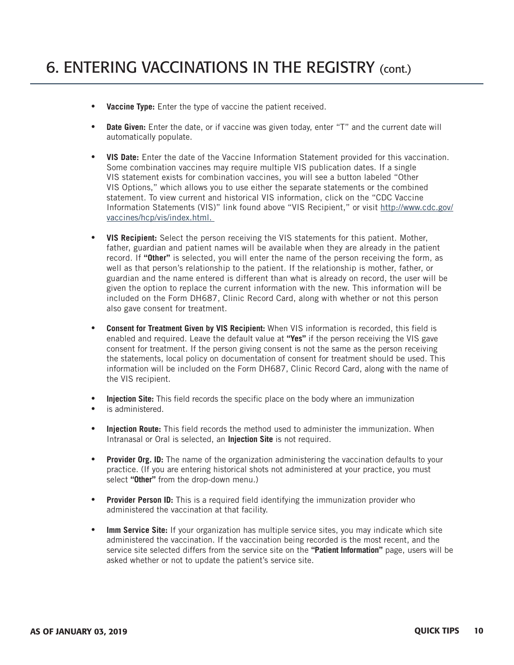- **Vaccine Type:** Enter the type of vaccine the patient received.
- **Date Given:** Enter the date, or if vaccine was given today, enter "T" and the current date will automatically populate.
- **VIS Date:** Enter the date of the Vaccine Information Statement provided for this vaccination. Some combination vaccines may require multiple VIS publication dates. If a single VIS statement exists for combination vaccines, you will see a button labeled "Other VIS Options," which allows you to use either the separate statements or the combined statement. To view current and historical VIS information, click on the "CDC Vaccine Information Statements (VIS)" link found above "VIS Recipient," or visit [http://www.cdc.gov/](http://www.cdc.gov/vaccines/hcp/vis/index.html) [vaccines/hcp/vis/index.html](http://www.cdc.gov/vaccines/hcp/vis/index.html).
- **VIS Recipient:** Select the person receiving the VIS statements for this patient. Mother, father, guardian and patient names will be available when they are already in the patient record. If **"Other"** is selected, you will enter the name of the person receiving the form, as well as that person's relationship to the patient. If the relationship is mother, father, or guardian and the name entered is different than what is already on record, the user will be given the option to replace the current information with the new. This information will be included on the Form DH687, Clinic Record Card, along with whether or not this person also gave consent for treatment.
- **Consent for Treatment Given by VIS Recipient:** When VIS information is recorded, this field is enabled and required. Leave the default value at **"Yes"** if the person receiving the VIS gave consent for treatment. If the person giving consent is not the same as the person receiving the statements, local policy on documentation of consent for treatment should be used. This information will be included on the Form DH687, Clinic Record Card, along with the name of the VIS recipient.
- **Injection Site:** This field records the specific place on the body where an immunization
- is administered.
- **Injection Route:** This field records the method used to administer the immunization. When Intranasal or Oral is selected, an **Injection Site** is not required.
- **Provider Org. ID:** The name of the organization administering the vaccination defaults to your practice. (If you are entering historical shots not administered at your practice, you must select **"Other"** from the drop-down menu.)
- **Provider Person ID:** This is a required field identifying the immunization provider who administered the vaccination at that facility.
- **Imm Service Site:** If your organization has multiple service sites, you may indicate which site administered the vaccination. If the vaccination being recorded is the most recent, and the service site selected differs from the service site on the **"Patient Information"** page, users will be asked whether or not to update the patient's service site.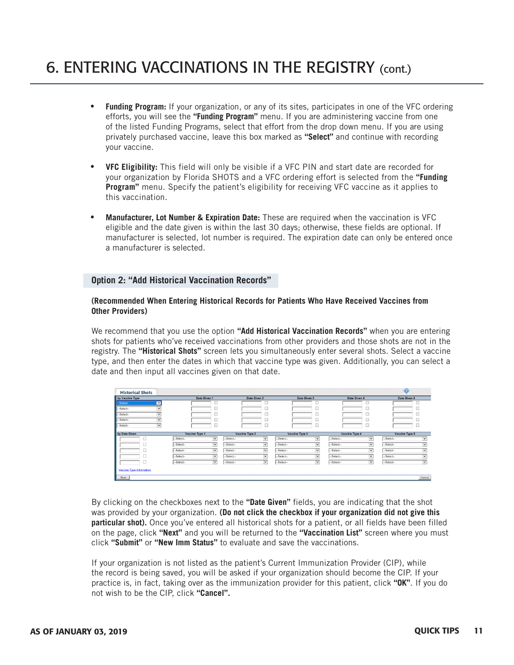## 6. ENTERING VACCINATIONS IN THE REGISTRY (cont.)

- **Funding Program:** If your organization, or any of its sites, participates in one of the VFC ordering efforts, you will see the **"Funding Program"** menu. If you are administering vaccine from one of the listed Funding Programs, select that effort from the drop down menu. If you are using privately purchased vaccine, leave this box marked as **"Select"** and continue with recording your vaccine.
- **VFC Eligibility:** This field will only be visible if a VFC PIN and start date are recorded for your organization by Florida SHOTS and a VFC ordering effort is selected from the **"Funding Program"** menu. Specify the patient's eligibility for receiving VFC vaccine as it applies to this vaccination.
- **Manufacturer, Lot Number & Expiration Date:** These are required when the vaccination is VFC eligible and the date given is within the last 30 days; otherwise, these fields are optional. If manufacturer is selected, lot number is required. The expiration date can only be entered once a manufacturer is selected.

### **Option 2: "Add Historical Vaccination Records"**

#### **(Recommended When Entering Historical Records for Patients Who Have Received Vaccines from Other Providers)**

We recommend that you use the option **"Add Historical Vaccination Records"** when you are entering shots for patients who've received vaccinations from other providers and those shots are not in the registry. The **"Historical Shots"** screen lets you simultaneously enter several shots. Select a vaccine type, and then enter the dates in which that vaccine type was given. Additionally, you can select a date and then input all vaccines given on that date.

| <b>Historical Shots</b> |                          |                |                         |                |              |                |                              |                |                         |                |                         |
|-------------------------|--------------------------|----------------|-------------------------|----------------|--------------|----------------|------------------------------|----------------|-------------------------|----------------|-------------------------|
| by Vaccine Type         |                          |                | Date Given 1            | Date Given 2   |              |                | Date Given 3                 |                | Date Given 4            |                | Date Given 5            |
| -Select-                | $\check{~}$              |                |                         |                |              |                |                              |                |                         |                |                         |
| -Select-                | $\checkmark$             |                |                         |                |              |                |                              |                |                         |                |                         |
| -Select-                | $\checkmark$             |                |                         |                |              |                |                              |                |                         |                |                         |
| -Select-                | $\overline{\phantom{0}}$ |                |                         |                |              |                |                              |                |                         |                |                         |
| -Select-                | $\checkmark$             |                |                         |                |              |                |                              |                |                         |                |                         |
| by Date Given           |                          | Vaccine Type 1 |                         | Vaccine Type 2 |              | Vaccine Type 3 |                              | Vaccine Type 4 |                         | Vaccine Type 5 |                         |
|                         |                          | --Select--     | $\overline{\mathbf{v}}$ | -Select--      | $\vee$       | -Select-       | $\overline{\mathbf{v}}$      | --Select--     | $\overline{\mathsf{v}}$ | -Select--      | $\checkmark$            |
|                         |                          | --Select--     | $\overline{\mathbf{v}}$ | -Select--      | $\checkmark$ | --Select--     | $\overline{\mathbf{v}}$<br>_ | --Select--     | $\checkmark$<br>-       | --Select--     | $\overline{\mathsf{v}}$ |
|                         |                          | --Select--     | $\checkmark$            | --Select--     | $\vee$       | --Select--     | $\checkmark$                 | --Select--     | $\checkmark$            | --Select--     | $\checkmark$            |
|                         |                          | --Select--     | $\checkmark$            | --Select--     | $\checkmark$ | --Select-      | $\checkmark$                 | --Select--     | $\checkmark$            | -Select--      | $\checkmark$            |
|                         |                          | --Select--     | $\overline{\mathbf{v}}$ | --Select--     | $\vee$       | $-$ Select $-$ | ⊻                            | --Select--     | $\overline{\mathsf{v}}$ | -Select--      | $\checkmark$            |
|                         | Vaccine Type Information |                |                         |                |              |                |                              |                |                         |                |                         |
| Cancel<br>Next          |                          |                |                         |                |              |                |                              |                |                         |                |                         |

By clicking on the checkboxes next to the **"Date Given"** fields, you are indicating that the shot was provided by your organization. **(Do not click the checkbox if your organization did not give this particular shot).** Once you've entered all historical shots for a patient, or all fields have been filled on the page, click **"Next"** and you will be returned to the **"Vaccination List"** screen where you must click **"Submit"** or **"New Imm Status"** to evaluate and save the vaccinations.

If your organization is not listed as the patient's Current Immunization Provider (CIP), while the record is being saved, you will be asked if your organization should become the CIP. If your practice is, in fact, taking over as the immunization provider for this patient, click **"OK"**. If you do not wish to be the CIP, click **"Cancel".**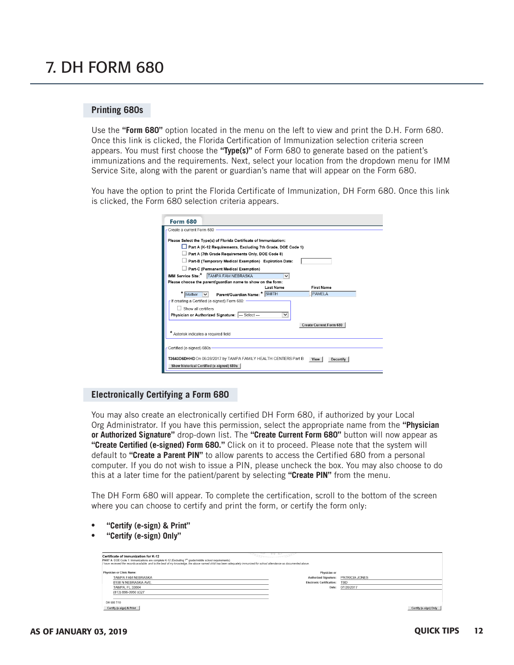### 7. DH FORM 680

### **Printing 680s**

Use the **"Form 680"** option located in the menu on the left to view and print the D.H. Form 680. Once this link is clicked, the Florida Certification of Immunization selection criteria screen appears. You must first choose the **"Type(s)"** of Form 680 to generate based on the patient's immunizations and the requirements. Next, select your location from the dropdown menu for IMM Service Site, along with the parent or guardian's name that will appear on the Form 680.

You have the option to print the Florida Certificate of Immunization, DH Form 680. Once this link is clicked, the Form 680 selection criteria appears.

|                                     | Please Select the Type(s) of Florida Certificate of Immunization: |              |                                |  |
|-------------------------------------|-------------------------------------------------------------------|--------------|--------------------------------|--|
|                                     | Part A (K-12 Requirements, Excluding 7th Grade, DOE Code 1)       |              |                                |  |
|                                     | Part A (7th Grade Requirements Only, DOE Code 8)                  |              |                                |  |
|                                     | Part-B (Temporary Medical Exemption) Expiration Date:             |              |                                |  |
|                                     | Part-C (Permanent Medical Exemption)                              |              |                                |  |
|                                     | IMM Service Site:*   TAMPA FAM NEBRASKA                           | $\checkmark$ |                                |  |
|                                     | Please choose the parent/quardian name to show on the form:       |              |                                |  |
|                                     |                                                                   | Last Name    | <b>First Name</b>              |  |
| Mother                              | Parent/Guardian Name: * SMITH                                     |              | PAMELA                         |  |
|                                     | - If creating a Certified (e-signed) Form 680: -                  |              |                                |  |
| Show all certifiers                 |                                                                   |              |                                |  |
|                                     | Physician or Authorized Signature: --- Select---                  | $\checkmark$ |                                |  |
|                                     |                                                                   |              | <b>Create Current Form 680</b> |  |
| Asterisk indicates a required field |                                                                   |              |                                |  |
|                                     |                                                                   |              |                                |  |
| -Certified (e-signed) 680s-         |                                                                   |              |                                |  |

#### **Electronically Certifying a Form 680**

You may also create an electronically certified DH Form 680, if authorized by your Local Org Administrator. If you have this permission, select the appropriate name from the **"Physician or Authorized Signature"** drop-down list. The **"Create Current Form 680"** button will now appear as **"Create Certified (e-signed) Form 680."** Click on it to proceed. Please note that the system will default to **"Create a Parent PIN"** to allow parents to access the Certified 680 from a personal computer. If you do not wish to issue a PIN, please uncheck the box. You may also choose to do this at a later time for the patient/parent by selecting **"Create PIN"** from the menu.

The DH Form 680 will appear. To complete the certification, scroll to the bottom of the screen where you can choose to certify and print the form, or certify the form only:

- **"Certify (e-sign) & Print"**
- **"Certify (e-sign) Only"**

| Certificate of Immunization for K-12<br>PART A DOE Code 1: Immunizations are complete K-12 (Excluding 7 <sup>th</sup> grade/middle school requirements)<br>I have reviewed the records available, and to the best of my knowledoe, the above named child has been adequately immunized for school attendance as documented above. |                                  |                       |
|-----------------------------------------------------------------------------------------------------------------------------------------------------------------------------------------------------------------------------------------------------------------------------------------------------------------------------------|----------------------------------|-----------------------|
| <b>Physician or Clinic Name:</b>                                                                                                                                                                                                                                                                                                  | Physician or                     |                       |
| TAMPA FAM NEBRASKA                                                                                                                                                                                                                                                                                                                | <b>Authorized Signature:</b>     | PATRICIA JONES        |
| 8108 N NEBRASKA AVE.                                                                                                                                                                                                                                                                                                              | <b>Electronic Certification:</b> | <b>TBD</b>            |
| <b>TAMPA, FL 33604</b>                                                                                                                                                                                                                                                                                                            | Date:                            | 07/20/2017            |
| (813) 866-0950 x327                                                                                                                                                                                                                                                                                                               |                                  |                       |
|                                                                                                                                                                                                                                                                                                                                   |                                  |                       |
| DH 680 7/10                                                                                                                                                                                                                                                                                                                       |                                  |                       |
| Certify (e-sign) & Print                                                                                                                                                                                                                                                                                                          |                                  | Certify (e-sign) Only |